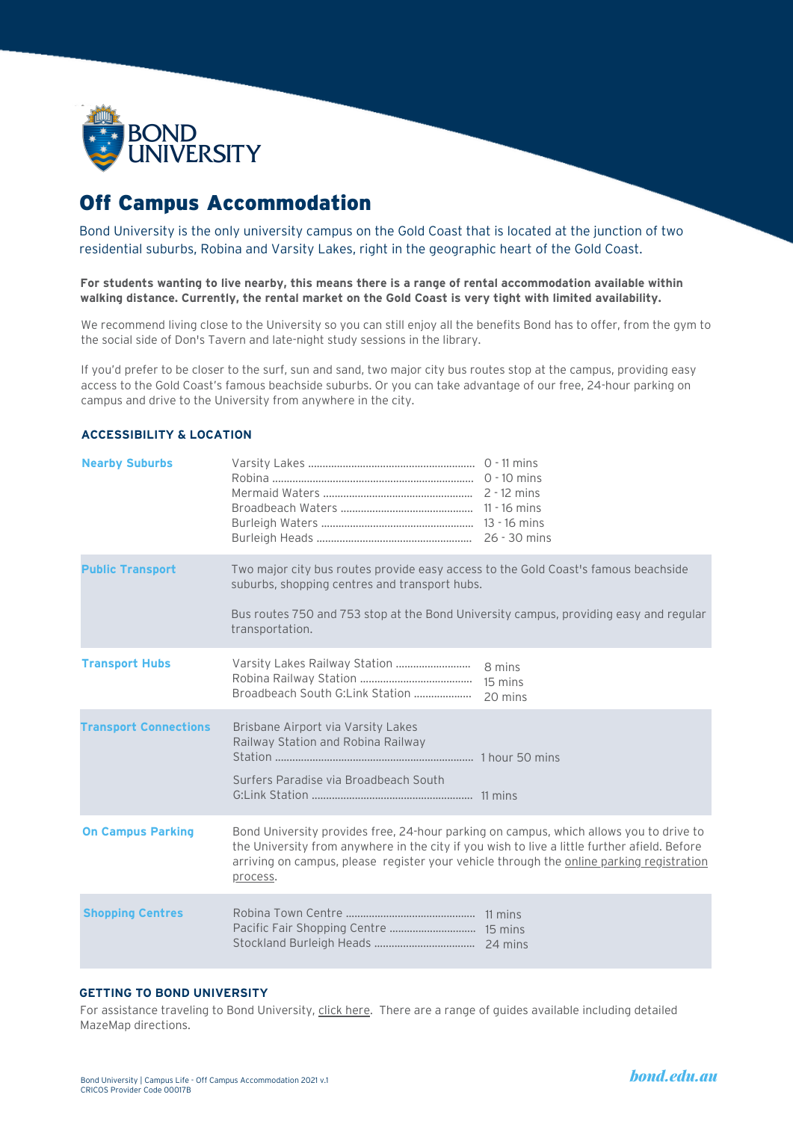

# Off Campus Accommodation

Bond University is the only university campus on the Gold Coast that is located at the junction of two residential suburbs, Robina and Varsity Lakes, right in the geographic heart of the Gold Coast.

**For students wanting to live nearby, this means there is a range of rental accommodation available within walking distance. Currently, the rental market on the Gold Coast is very tight with limited availability.**

We recommend living close to the University so you can still enjoy all the benefits Bond has to offer, from the gym to the social side of Don's Tavern and late-night study sessions in the library.

If you'd prefer to be closer to the surf, sun and sand, two major city bus routes stop at the campus, providing easy access to the Gold Coast's famous beachside suburbs. Or you can take advantage of our free, 24-hour parking on campus and drive to the University from anywhere in the city.

| <b>Nearby Suburbs</b>        |                                                                                                                                                                                                                                                                                                |                              |
|------------------------------|------------------------------------------------------------------------------------------------------------------------------------------------------------------------------------------------------------------------------------------------------------------------------------------------|------------------------------|
| <b>Public Transport</b>      | Two major city bus routes provide easy access to the Gold Coast's famous beachside<br>suburbs, shopping centres and transport hubs.<br>Bus routes 750 and 753 stop at the Bond University campus, providing easy and regular<br>transportation.                                                |                              |
| <b>Transport Hubs</b>        | Varsity Lakes Railway Station<br>Broadbeach South G:Link Station                                                                                                                                                                                                                               | 8 mins<br>15 mins<br>20 mins |
| <b>Transport Connections</b> | Brisbane Airport via Varsity Lakes<br>Railway Station and Robina Railway<br>Surfers Paradise via Broadbeach South                                                                                                                                                                              |                              |
| <b>On Campus Parking</b>     | Bond University provides free, 24-hour parking on campus, which allows you to drive to<br>the University from anywhere in the city if you wish to live a little further afield. Before<br>arriving on campus, please register your vehicle through the online parking registration<br>process. |                              |
| <b>Shopping Centres</b>      |                                                                                                                                                                                                                                                                                                |                              |

# **ACCESSIBILITY & LOCATION**

# **GETTING TO BOND UNIVERSITY**

For assistance traveling to Bond University, click [here](https://bond.edu.au/about-bond/facilities-services/maps-and-directions/getting-bond-university). There are a range of guides available including detailed MazeMap directions.